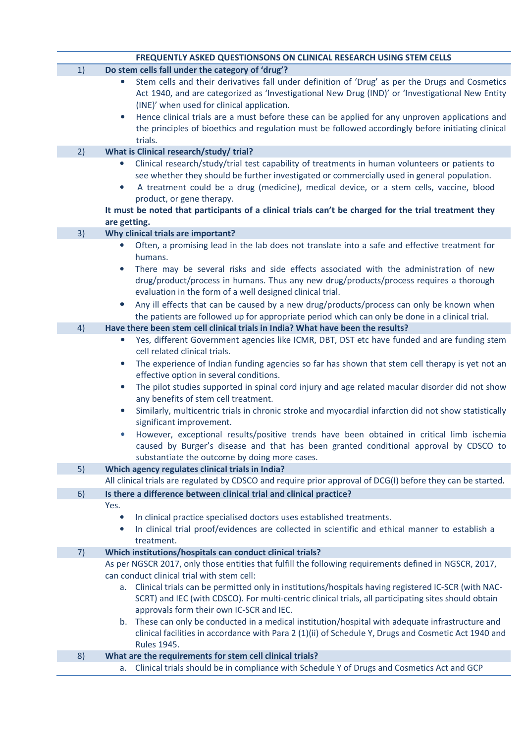| FREQUENTLY ASKED QUESTIONSONS ON CLINICAL RESEARCH USING STEM CELLS |                                                                                                                                                                                                                                                                                                                                                                                                                                                             |  |
|---------------------------------------------------------------------|-------------------------------------------------------------------------------------------------------------------------------------------------------------------------------------------------------------------------------------------------------------------------------------------------------------------------------------------------------------------------------------------------------------------------------------------------------------|--|
| 1)                                                                  | Do stem cells fall under the category of 'drug'?                                                                                                                                                                                                                                                                                                                                                                                                            |  |
|                                                                     | Stem cells and their derivatives fall under definition of 'Drug' as per the Drugs and Cosmetics<br>Act 1940, and are categorized as 'Investigational New Drug (IND)' or 'Investigational New Entity<br>(INE)' when used for clinical application.<br>Hence clinical trials are a must before these can be applied for any unproven applications and<br>$\bullet$                                                                                            |  |
|                                                                     | the principles of bioethics and regulation must be followed accordingly before initiating clinical<br>trials.                                                                                                                                                                                                                                                                                                                                               |  |
| 2)                                                                  | What is Clinical research/study/trial?                                                                                                                                                                                                                                                                                                                                                                                                                      |  |
|                                                                     | Clinical research/study/trial test capability of treatments in human volunteers or patients to<br>see whether they should be further investigated or commercially used in general population.<br>A treatment could be a drug (medicine), medical device, or a stem cells, vaccine, blood<br>$\bullet$<br>product, or gene therapy.<br>It must be noted that participants of a clinical trials can't be charged for the trial treatment they<br>are getting. |  |
| 3)                                                                  | Why clinical trials are important?                                                                                                                                                                                                                                                                                                                                                                                                                          |  |
|                                                                     | Often, a promising lead in the lab does not translate into a safe and effective treatment for<br>$\bullet$<br>humans.                                                                                                                                                                                                                                                                                                                                       |  |
|                                                                     | There may be several risks and side effects associated with the administration of new<br>$\bullet$<br>drug/product/process in humans. Thus any new drug/products/process requires a thorough<br>evaluation in the form of a well designed clinical trial.                                                                                                                                                                                                   |  |
|                                                                     | Any ill effects that can be caused by a new drug/products/process can only be known when<br>$\bullet$<br>the patients are followed up for appropriate period which can only be done in a clinical trial.                                                                                                                                                                                                                                                    |  |
| 4)                                                                  | Have there been stem cell clinical trials in India? What have been the results?                                                                                                                                                                                                                                                                                                                                                                             |  |
|                                                                     | Yes, different Government agencies like ICMR, DBT, DST etc have funded and are funding stem<br>$\bullet$<br>cell related clinical trials.                                                                                                                                                                                                                                                                                                                   |  |
|                                                                     | The experience of Indian funding agencies so far has shown that stem cell therapy is yet not an<br>$\bullet$<br>effective option in several conditions.<br>The pilot studies supported in spinal cord injury and age related macular disorder did not show<br>$\bullet$                                                                                                                                                                                     |  |
|                                                                     | any benefits of stem cell treatment.<br>Similarly, multicentric trials in chronic stroke and myocardial infarction did not show statistically<br>$\bullet$                                                                                                                                                                                                                                                                                                  |  |
|                                                                     | significant improvement.<br>However, exceptional results/positive trends have been obtained in critical limb ischemia                                                                                                                                                                                                                                                                                                                                       |  |
|                                                                     | caused by Burger's disease and that has been granted conditional approval by CDSCO to<br>substantiate the outcome by doing more cases.                                                                                                                                                                                                                                                                                                                      |  |
| 5)                                                                  | Which agency regulates clinical trials in India?                                                                                                                                                                                                                                                                                                                                                                                                            |  |
|                                                                     | All clinical trials are regulated by CDSCO and require prior approval of DCG(I) before they can be started.                                                                                                                                                                                                                                                                                                                                                 |  |
| 6)                                                                  | Is there a difference between clinical trial and clinical practice?                                                                                                                                                                                                                                                                                                                                                                                         |  |
|                                                                     | Yes.                                                                                                                                                                                                                                                                                                                                                                                                                                                        |  |
|                                                                     | In clinical practice specialised doctors uses established treatments.<br>$\bullet$<br>In clinical trial proof/evidences are collected in scientific and ethical manner to establish a<br>$\bullet$<br>treatment.                                                                                                                                                                                                                                            |  |
| 7)                                                                  | Which institutions/hospitals can conduct clinical trials?                                                                                                                                                                                                                                                                                                                                                                                                   |  |
|                                                                     | As per NGSCR 2017, only those entities that fulfill the following requirements defined in NGSCR, 2017,                                                                                                                                                                                                                                                                                                                                                      |  |
|                                                                     | can conduct clinical trial with stem cell:                                                                                                                                                                                                                                                                                                                                                                                                                  |  |
|                                                                     | a. Clinical trials can be permitted only in institutions/hospitals having registered IC-SCR (with NAC-<br>SCRT) and IEC (with CDSCO). For multi-centric clinical trials, all participating sites should obtain<br>approvals form their own IC-SCR and IEC.                                                                                                                                                                                                  |  |
|                                                                     | b. These can only be conducted in a medical institution/hospital with adequate infrastructure and<br>clinical facilities in accordance with Para 2 (1)(ii) of Schedule Y, Drugs and Cosmetic Act 1940 and<br><b>Rules 1945.</b>                                                                                                                                                                                                                             |  |
| 8)                                                                  | What are the requirements for stem cell clinical trials?                                                                                                                                                                                                                                                                                                                                                                                                    |  |
|                                                                     | a. Clinical trials should be in compliance with Schedule Y of Drugs and Cosmetics Act and GCP                                                                                                                                                                                                                                                                                                                                                               |  |
|                                                                     |                                                                                                                                                                                                                                                                                                                                                                                                                                                             |  |